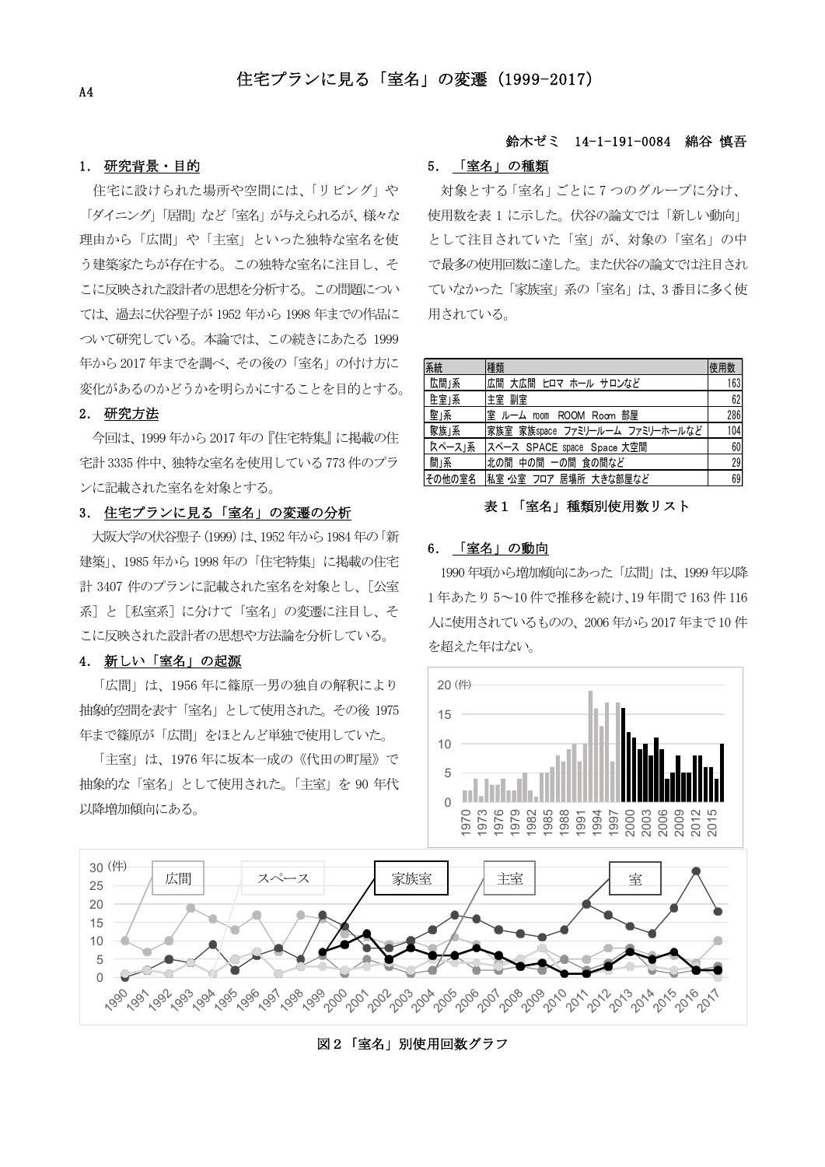### 1. 研究背景·目的

住宅に設けられた場所や空間には、「リビング」や 「ダイニング」「居間」など「室名」が与えられるが、様々な 理由から「広間」や「主室」といった独特な室名を使 う建築家たちが存在する。この独特な室名に注目し、そ こに反映された設計者の思想を分析する。この問題につい ては、過去に伏谷聖子が 1952 年から 1998 年までの作品に ついて研究している。本論では、この続きにあたる 1999 年から2017年までを調べ、その後の「室名」の付け方に 変化があるのかどうかを明らかにすることを目的とする。

### 2. 研究方法

今回は、1999年から2017年の『住宅特集』に掲載の住 宅計3335件中、独特な室名を使用している773件のプラ ンに記載された室名を対象とする。

## 3. 住宅プランに見る「室名」の変遷の分析

大阪大学の伏谷聖子 (1999) は、1952年から 1984年の「新 建築」、1985年から1998年の「住宅特集」に掲載の住宅 計 3407 件のプランに記載された室名を対象とし、「公室 系]と[私室系]に分けて「室名」の変遷に注目し、そ こに反映された設計者の思想や方法論を分析している。

### 4. 新しい「室名」の起源

「広間」は、1956年に篠原一男の独自の解釈により 抽象的空間を表す「室名」として使用された。その後 1975 年まで篠原が「広間」をほとんど単独で使用していた。

「主室」は、1976年に坂本一成の《代田の町屋》で 抽象的な「室名」として使用された。「主室」を 90年代 以降増加傾向にある。

# 鈴木ゼミ 14-1-191-0084 綿谷慎吾

# 5. 「室名」の種類

対象とする「室名」ごとに7つのグループに分け、 使用数を表1に示した。伏谷の論文では「新しい動向」 として注目されていた「室」が、対象の「室名」の中 で最多の使用回数に達した。また伏谷の論文では注目され ていなかった「家族室」系の「室名」は、3番目に多く使 用されている。

| 系統     | 種類                              | 使用数 |
|--------|---------------------------------|-----|
| 広間」系   | 広間 大広間 ヒロマ ホール サロンなど            | 163 |
| 上室1系   | 宝曜 皐主                           | 62  |
| 室」系    | 室 ルーム room ROOM Room 部屋         | 286 |
| 家族」系   | 家族室 家族space ファミリールーム ファミリーホールなど | 104 |
| スペース」系 | スペース SPACE space Space 大空間      | 60  |
| 間」系    | 北の間 中の間 一の間 食の間など               | 29  |
|        | その他の室名 私室 公室 フロア 居場所 大きな部屋など    | 69  |

#### 表1「室名」種類別使用数リスト

#### 6. 「室名」の動向

1990年頃から増加傾向にあった「広間」は、1999年以降 1年あたり5~10件で推移を続け、19年間で163件116 人に使用されているものの、2006年から2017年まで10件 を超えた年はない。





# 図2「室名」別使用回数グラフ